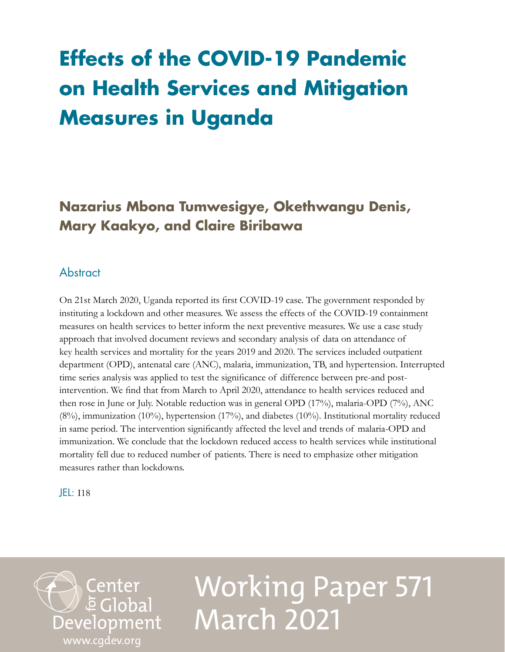## **Effects of the COVID-19 Pandemic on Health Services and Mitigation Measures in Uganda**

**Nazarius Mbona Tumwesigye, Okethwangu Denis, Mary Kaakyo, and Claire Biribawa**

## **Abstract**

On 21st March 2020, Uganda reported its first COVID-19 case. The government responded by instituting a lockdown and other measures. We assess the effects of the COVID-19 containment measures on health services to better inform the next preventive measures. We use a case study approach that involved document reviews and secondary analysis of data on attendance of key health services and mortality for the years 2019 and 2020. The services included outpatient department (OPD), antenatal care (ANC), malaria, immunization, TB, and hypertension. Interrupted time series analysis was applied to test the significance of difference between pre-and postintervention. We find that from March to April 2020, attendance to health services reduced and then rose in June or July. Notable reduction was in general OPD (17%), malaria-OPD (7%), ANC (8%), immunization (10%), hypertension (17%), and diabetes (10%). Institutional mortality reduced in same period. The intervention significantly affected the level and trends of malaria-OPD and immunization. We conclude that the lockdown reduced access to health services while institutional mortality fell due to reduced number of patients. There is need to emphasize other mitigation measures rather than lockdowns.

JEL: I18

[www.cgdev.org](http://www.cgdev.org)

Development

*S*<br>E Global

# Working Paper 571 March 2021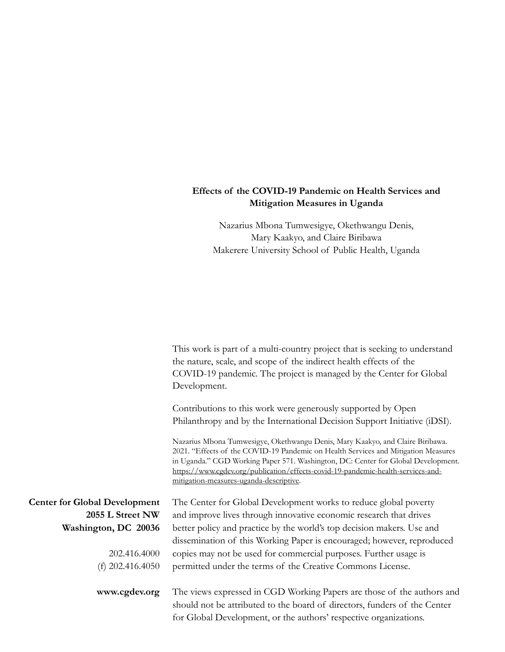### **Effects of the COVID-19 Pandemic on Health Services and Mitigation Measures in Uganda**

Nazarius Mbona Tumwesigye, Okethwangu Denis, Mary Kaakyo, and Claire Biribawa Makerere University School of Public Health, Uganda

This work is part of a multi-country project that is seeking to understand

|                                                                                                  | the nature, scale, and scope of the indirect health effects of the<br>COVID-19 pandemic. The project is managed by the Center for Global<br>Development.                                                                                                                                                                                                                                 |
|--------------------------------------------------------------------------------------------------|------------------------------------------------------------------------------------------------------------------------------------------------------------------------------------------------------------------------------------------------------------------------------------------------------------------------------------------------------------------------------------------|
|                                                                                                  | Contributions to this work were generously supported by Open<br>Philanthropy and by the International Decision Support Initiative (iDSI).                                                                                                                                                                                                                                                |
|                                                                                                  | Nazarius Mbona Tumwesigye, Okethwangu Denis, Mary Kaakyo, and Claire Biribawa.<br>2021. "Effects of the COVID-19 Pandemic on Health Services and Mitigation Measures<br>in Uganda." CGD Working Paper 571. Washington, DC: Center for Global Development.<br>https://www.cgdev.org/publication/effects-covid-19-pandemic-health-services-and-<br>mitigation-measures-uganda-descriptive. |
| <b>Center for Global Development</b><br>2055 L Street NW<br>Washington, DC 20036<br>202.416.4000 | The Center for Global Development works to reduce global poverty<br>and improve lives through innovative economic research that drives<br>better policy and practice by the world's top decision makers. Use and<br>dissemination of this Working Paper is encouraged; however, reproduced<br>copies may not be used for commercial purposes. Further usage is                           |
| (f) $202.416.4050$                                                                               | permitted under the terms of the Creative Commons License.                                                                                                                                                                                                                                                                                                                               |
| www.cgdev.org                                                                                    | The views expressed in CGD Working Papers are those of the authors and<br>should not be attributed to the board of directors, funders of the Center<br>for Global Development, or the authors' respective organizations.                                                                                                                                                                 |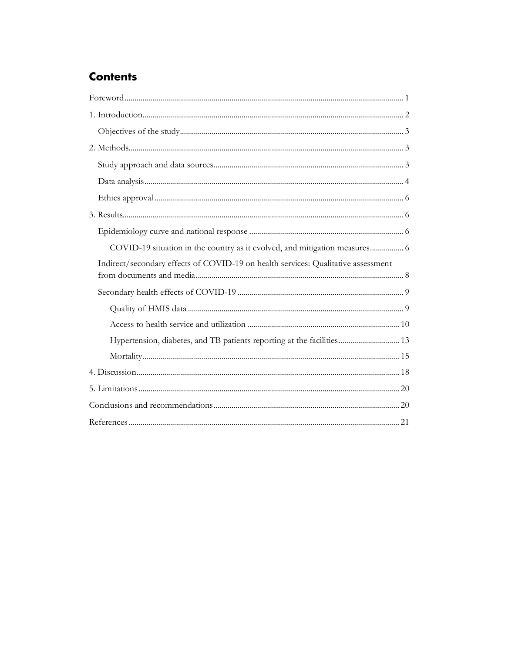## **Contents**

| COVID-19 situation in the country as it evolved, and mitigation measures 6        |
|-----------------------------------------------------------------------------------|
| Indirect/secondary effects of COVID-19 on health services: Qualitative assessment |
|                                                                                   |
|                                                                                   |
|                                                                                   |
| Hypertension, diabetes, and TB patients reporting at the facilities 13            |
|                                                                                   |
|                                                                                   |
|                                                                                   |
|                                                                                   |
|                                                                                   |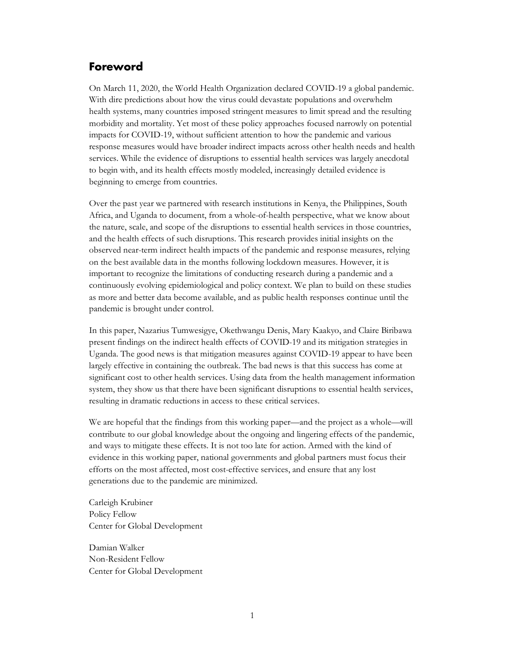## <span id="page-3-0"></span>**Foreword**

On March 11, 2020, the World Health Organization declared COVID-19 a global pandemic. With dire predictions about how the virus could devastate populations and overwhelm health systems, many countries imposed stringent measures to limit spread and the resulting morbidity and mortality. Yet most of these policy approaches focused narrowly on potential impacts for COVID-19, without sufficient attention to how the pandemic and various response measures would have broader indirect impacts across other health needs and health services. While the evidence of disruptions to essential health services was largely anecdotal to begin with, and its health effects mostly modeled, increasingly detailed evidence is beginning to emerge from countries.

Over the past year we partnered with research institutions in Kenya, the Philippines, South Africa, and Uganda to document, from a whole-of-health perspective, what we know about the nature, scale, and scope of the disruptions to essential health services in those countries, and the health effects of such disruptions. This research provides initial insights on the observed near-term indirect health impacts of the pandemic and response measures, relying on the best available data in the months following lockdown measures. However, it is important to recognize the limitations of conducting research during a pandemic and a continuously evolving epidemiological and policy context. We plan to build on these studies as more and better data become available, and as public health responses continue until the pandemic is brought under control.

In this paper, Nazarius Tumwesigye, Okethwangu Denis, Mary Kaakyo, and Claire Biribawa present findings on the indirect health effects of COVID-19 and its mitigation strategies in Uganda. The good news is that mitigation measures against COVID-19 appear to have been largely effective in containing the outbreak. The bad news is that this success has come at significant cost to other health services. Using data from the health management information system, they show us that there have been significant disruptions to essential health services, resulting in dramatic reductions in access to these critical services.

We are hopeful that the findings from this working paper—and the project as a whole—will contribute to our global knowledge about the ongoing and lingering effects of the pandemic, and ways to mitigate these effects. It is not too late for action. Armed with the kind of evidence in this working paper, national governments and global partners must focus their efforts on the most affected, most cost-effective services, and ensure that any lost generations due to the pandemic are minimized.

Carleigh Krubiner Policy Fellow Center for Global Development

Damian Walker Non-Resident Fellow Center for Global Development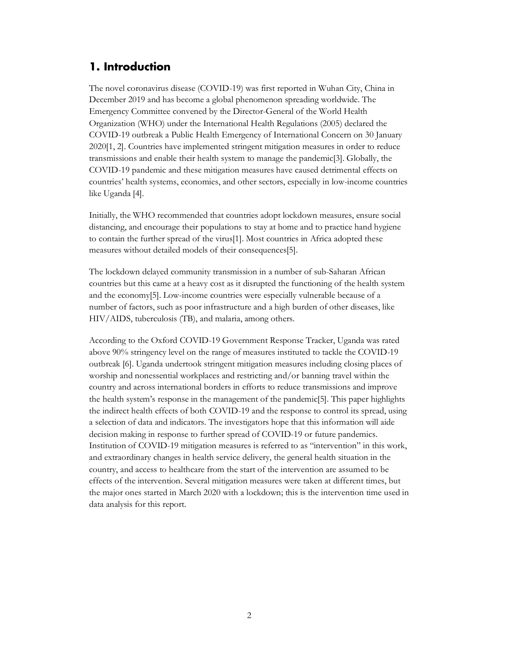## <span id="page-4-0"></span>**1. Introduction**

The novel coronavirus disease (COVID-19) was first reported in Wuhan City, China in December 2019 and has become a global phenomenon spreading worldwide. The Emergency Committee convened by the Director-General of the World Health Organization (WHO) under the International Health Regulations (2005) declared the COVID-19 outbreak a Public Health Emergency of International Concern on 30 January 2020[1, 2]. Countries have implemented stringent mitigation measures in order to reduce transmissions and enable their health system to manage the pandemic[3]. Globally, the COVID-19 pandemic and these mitigation measures have caused detrimental effects on countries' health systems, economies, and other sectors, especially in low-income countries like Uganda [4].

Initially, the WHO recommended that countries adopt lockdown measures, ensure social distancing, and encourage their populations to stay at home and to practice hand hygiene to contain the further spread of the virus[1]. Most countries in Africa adopted these measures without detailed models of their consequences[5].

The lockdown delayed community transmission in a number of sub-Saharan African countries but this came at a heavy cost as it disrupted the functioning of the health system and the economy[5]. Low-income countries were especially vulnerable because of a number of factors, such as poor infrastructure and a high burden of other diseases, like HIV/AIDS, tuberculosis (TB), and malaria, among others.

According to the Oxford COVID-19 Government Response Tracker, Uganda was rated above 90% stringency level on the range of measures instituted to tackle the COVID-19 outbreak [6]. Uganda undertook stringent mitigation measures including closing places of worship and nonessential workplaces and restricting and/or banning travel within the country and across international borders in efforts to reduce transmissions and improve the health system's response in the management of the pandemic[5]. This paper highlights the indirect health effects of both COVID-19 and the response to control its spread, using a selection of data and indicators. The investigators hope that this information will aide decision making in response to further spread of COVID-19 or future pandemics. Institution of COVID-19 mitigation measures is referred to as "intervention" in this work, and extraordinary changes in health service delivery, the general health situation in the country, and access to healthcare from the start of the intervention are assumed to be effects of the intervention. Several mitigation measures were taken at different times, but the major ones started in March 2020 with a lockdown; this is the intervention time used in data analysis for this report.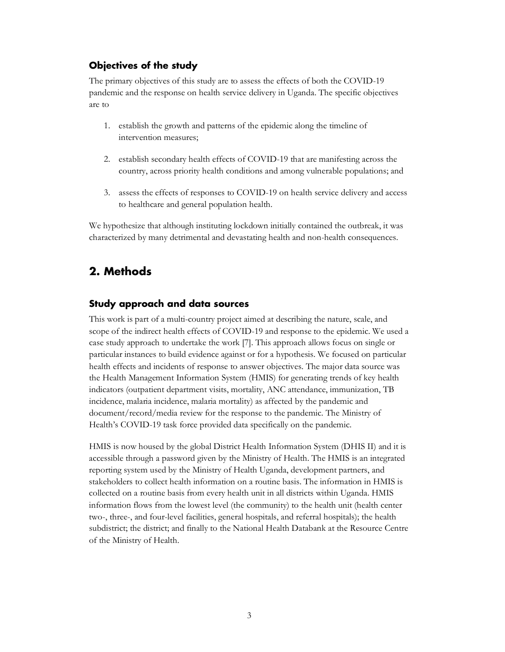#### <span id="page-5-0"></span>**Objectives of the study**

The primary objectives of this study are to assess the effects of both the COVID-19 pandemic and the response on health service delivery in Uganda. The specific objectives are to

- 1. establish the growth and patterns of the epidemic along the timeline of intervention measures;
- 2. establish secondary health effects of COVID-19 that are manifesting across the country, across priority health conditions and among vulnerable populations; and
- 3. assess the effects of responses to COVID-19 on health service delivery and access to healthcare and general population health.

We hypothesize that although instituting lockdown initially contained the outbreak, it was characterized by many detrimental and devastating health and non-health consequences.

## <span id="page-5-1"></span>**2. Methods**

#### <span id="page-5-2"></span>**Study approach and data sources**

This work is part of a multi-country project aimed at describing the nature, scale, and scope of the indirect health effects of COVID-19 and response to the epidemic. We used a case study approach to undertake the work [7]. This approach allows focus on single or particular instances to build evidence against or for a hypothesis. We focused on particular health effects and incidents of response to answer objectives. The major data source was the Health Management Information System (HMIS) for generating trends of key health indicators (outpatient department visits, mortality, ANC attendance, immunization, TB incidence, malaria incidence, malaria mortality) as affected by the pandemic and document/record/media review for the response to the pandemic. The Ministry of Health's COVID-19 task force provided data specifically on the pandemic.

HMIS is now housed by the global District Health Information System (DHIS II) and it is accessible through a password given by the Ministry of Health. The HMIS is an integrated reporting system used by the Ministry of Health Uganda, development partners, and stakeholders to collect health information on a routine basis. The information in HMIS is collected on a routine basis from every health unit in all districts within Uganda. HMIS information flows from the lowest level (the community) to the health unit (health center two-, three-, and four-level facilities, general hospitals, and referral hospitals); the health subdistrict; the district; and finally to the National Health Databank at the Resource Centre of the Ministry of Health.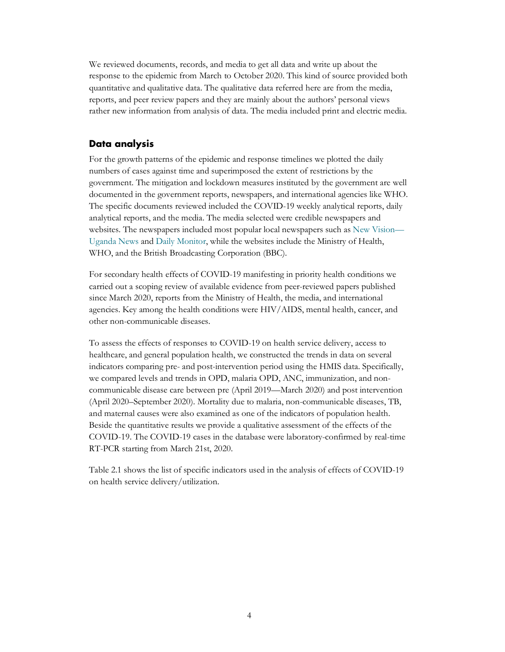We reviewed documents, records, and media to get all data and write up about the response to the epidemic from March to October 2020. This kind of source provided both quantitative and qualitative data. The qualitative data referred here are from the media, reports, and peer review papers and they are mainly about the authors' personal views rather new information from analysis of data. The media included print and electric media.

#### <span id="page-6-0"></span>**Data analysis**

For the growth patterns of the epidemic and response timelines we plotted the daily numbers of cases against time and superimposed the extent of restrictions by the government. The mitigation and lockdown measures instituted by the government are well documented in the government reports, newspapers, and international agencies like WHO. The specific documents reviewed included the COVID-19 weekly analytical reports, daily analytical reports, and the media. The media selected were credible newspapers and websites. The newspapers included most popular local newspapers such as [New Vision—](https://www.newvision.co.ug/) [Uganda News](https://www.newvision.co.ug/) and [Daily Monitor,](https://www.monitor.co.ug/uganda) while the websites include the Ministry of Health, WHO, and the British Broadcasting Corporation (BBC).

For secondary health effects of COVID-19 manifesting in priority health conditions we carried out a scoping review of available evidence from peer-reviewed papers published since March 2020, reports from the Ministry of Health, the media, and international agencies. Key among the health conditions were HIV/AIDS, mental health, cancer, and other non-communicable diseases.

To assess the effects of responses to COVID-19 on health service delivery, access to healthcare, and general population health, we constructed the trends in data on several indicators comparing pre- and post-intervention period using the HMIS data. Specifically, we compared levels and trends in OPD, malaria OPD, ANC, immunization, and noncommunicable disease care between pre (April 2019—March 2020) and post intervention (April 2020–September 2020). Mortality due to malaria, non-communicable diseases, TB, and maternal causes were also examined as one of the indicators of population health. Beside the quantitative results we provide a qualitative assessment of the effects of the COVID-19. The COVID-19 cases in the database were laboratory-confirmed by real-time RT-PCR starting from March 21st, 2020.

Table 2.1 shows the list of specific indicators used in the analysis of effects of COVID-19 on health service delivery/utilization.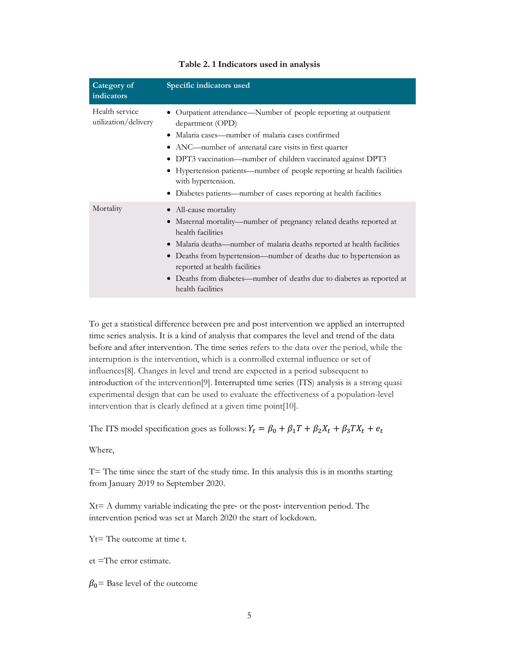| Category of<br>indicators              | Specific indicators used                                                                                                                                                                                                                                                                                                                                                                                                              |
|----------------------------------------|---------------------------------------------------------------------------------------------------------------------------------------------------------------------------------------------------------------------------------------------------------------------------------------------------------------------------------------------------------------------------------------------------------------------------------------|
| Health service<br>utilization/delivery | • Outpatient attendance—Number of people reporting at outpatient<br>department (OPD)<br>Malaria cases—number of malaria cases confirmed<br>• ANC—number of antenatal care visits in first quarter<br>DPT3 vaccination—number of children vaccinated against DPT3<br>Hypertension patients—number of people reporting at health facilities<br>with hypertension.<br>• Diabetes patients—number of cases reporting at health facilities |
| Mortality                              | • All-cause mortality<br>Maternal mortality—number of pregnancy related deaths reported at<br>health facilities<br>• Malaria deaths—number of malaria deaths reported at health facilities<br>Deaths from hypertension—number of deaths due to hypertension as<br>reported at health facilities<br>Deaths from diabetes—number of deaths due to diabetes as reported at<br>$\bullet$<br>health facilities                             |

#### **Table 2. 1 Indicators used in analysis**

To get a statistical difference between pre and post intervention we applied an interrupted time series analysis. It is a kind of analysis that compares the level and trend of the data before and after intervention. The time series refers to the data over the period, while the interruption is the intervention, which is a controlled external influence or set of influences[8]. Changes in level and trend are expected in a period subsequent to introduction of the intervention[9]. Interrupted time series (ITS) analysis is a strong quasi experimental design that can be used to evaluate the effectiveness of a population-level intervention that is clearly defined at a given time point[10].

The ITS model specification goes as follows:  $Y_t = \beta_0 + \beta_1 T + \beta_2 X_t + \beta_3 T X_t + e_t$ 

Where,

T= The time since the start of the study time. In this analysis this is in months starting from January 2019 to September 2020.

 $Xt=$  A dummy variable indicating the pre- or the post-intervention period. The intervention period was set at March 2020 the start of lockdown.

Yt= The outcome at time t.

et =The error estimate.

 $\beta_0$  = Base level of the outcome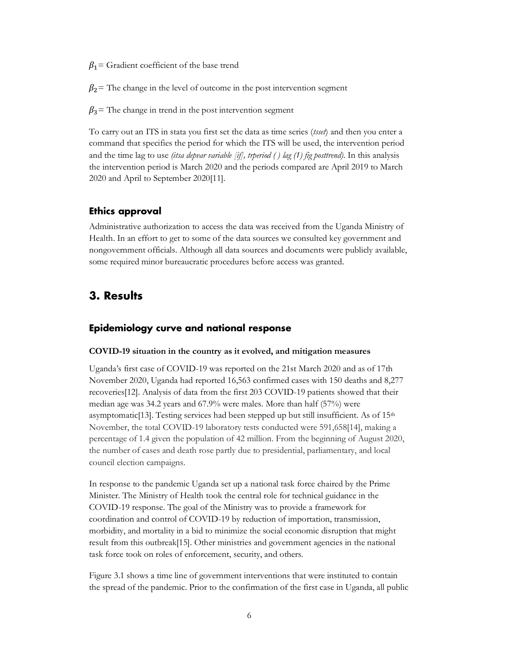$\beta_1$  = Gradient coefficient of the base trend

 $\beta_2$ = The change in the level of outcome in the post intervention segment

 $\beta_3$ = The change in trend in the post intervention segment

To carry out an ITS in stata you first set the data as time series (*tsset*) and then you enter a command that specifies the period for which the ITS will be used, the intervention period and the time lag to use *(itsa depvar variable [if], trperiod ( ) lag (1) fig posttrend).* In this analysis the intervention period is March 2020 and the periods compared are April 2019 to March 2020 and April to September 2020[11]*.* 

#### <span id="page-8-0"></span>**Ethics approval**

Administrative authorization to access the data was received from the Uganda Ministry of Health. In an effort to get to some of the data sources we consulted key government and nongovernment officials. Although all data sources and documents were publicly available, some required minor bureaucratic procedures before access was granted.

## <span id="page-8-1"></span>**3. Results**

#### <span id="page-8-2"></span>**Epidemiology curve and national response**

#### <span id="page-8-3"></span>**COVID-19 situation in the country as it evolved, and mitigation measures**

Uganda's first case of COVID-19 was reported on the 21st March 2020 and as of 17th November 2020, Uganda had reported 16,563 confirmed cases with 150 deaths and 8,277 recoveries[12]. Analysis of data from the first 203 COVID-19 patients showed that their median age was 34.2 years and 67.9% were males. More than half (57%) were asymptomatic<sup>[13]</sup>. Testing services had been stepped up but still insufficient. As of  $15<sup>th</sup>$ November, the total COVID-19 laboratory tests conducted were 591,658[14], making a percentage of 1.4 given the population of 42 million. From the beginning of August 2020, the number of cases and death rose partly due to presidential, parliamentary, and local council election campaigns.

In response to the pandemic Uganda set up a national task force chaired by the Prime Minister. The Ministry of Health took the central role for technical guidance in the COVID-19 response. The goal of the Ministry was to provide a framework for coordination and control of COVID-19 by reduction of importation, transmission, morbidity, and mortality in a bid to minimize the social economic disruption that might result from this outbreak[15]. Other ministries and government agencies in the national task force took on roles of enforcement, security, and others.

Figure 3.1 shows a time line of government interventions that were instituted to contain the spread of the pandemic. Prior to the confirmation of the first case in Uganda, all public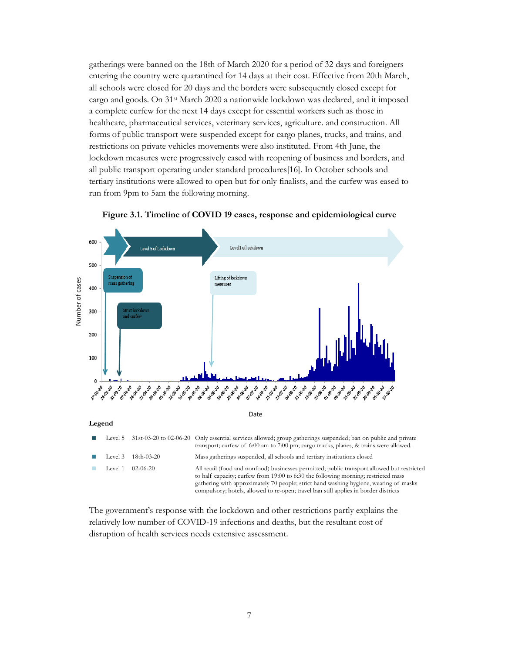gatherings were banned on the 18th of March 2020 for a period of 32 days and foreigners entering the country were quarantined for 14 days at their cost. Effective from 20th March, all schools were closed for 20 days and the borders were subsequently closed except for cargo and goods. On 31st March 2020 a nationwide lockdown was declared, and it imposed a complete curfew for the next 14 days except for essential workers such as those in healthcare, pharmaceutical services, veterinary services, agriculture. and construction. All forms of public transport were suspended except for cargo planes, trucks, and trains, and restrictions on private vehicles movements were also instituted. From 4th June, the lockdown measures were progressively eased with reopening of business and borders, and all public transport operating under standard procedures[16]. In October schools and tertiary institutions were allowed to open but for only finalists, and the curfew was eased to run from 9pm to 5am the following morning.



**Figure 3.1. Timeline of COVID 19 cases, response and epidemiological curve** 

The government's response with the lockdown and other restrictions partly explains the relatively low number of COVID-19 infections and deaths, but the resultant cost of disruption of health services needs extensive assessment.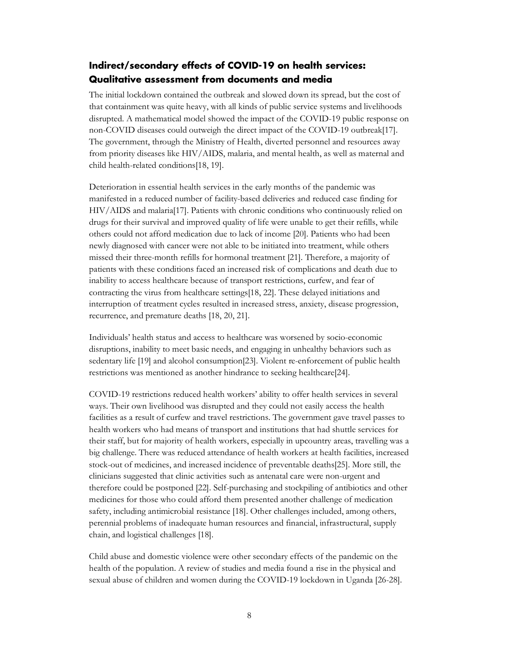## <span id="page-10-0"></span>**Indirect/secondary effects of COVID-19 on health services: Qualitative assessment from documents and media**

The initial lockdown contained the outbreak and slowed down its spread, but the cost of that containment was quite heavy, with all kinds of public service systems and livelihoods disrupted. A mathematical model showed the impact of the COVID-19 public response on non-COVID diseases could outweigh the direct impact of the COVID-19 outbreak[17]. The government, through the Ministry of Health, diverted personnel and resources away from priority diseases like HIV/AIDS, malaria, and mental health, as well as maternal and child health-related conditions[18, 19].

Deterioration in essential health services in the early months of the pandemic was manifested in a reduced number of facility-based deliveries and reduced case finding for HIV/AIDS and malaria[17]. Patients with chronic conditions who continuously relied on drugs for their survival and improved quality of life were unable to get their refills, while others could not afford medication due to lack of income [20]. Patients who had been newly diagnosed with cancer were not able to be initiated into treatment, while others missed their three-month refills for hormonal treatment [21]. Therefore, a majority of patients with these conditions faced an increased risk of complications and death due to inability to access healthcare because of transport restrictions, curfew, and fear of contracting the virus from healthcare settings[18, 22]. These delayed initiations and interruption of treatment cycles resulted in increased stress, anxiety, disease progression, recurrence, and premature deaths [18, 20, 21].

Individuals' health status and access to healthcare was worsened by socio-economic disruptions, inability to meet basic needs, and engaging in unhealthy behaviors such as sedentary life [19] and alcohol consumption[23]. Violent re-enforcement of public health restrictions was mentioned as another hindrance to seeking healthcare[24].

COVID-19 restrictions reduced health workers' ability to offer health services in several ways. Their own livelihood was disrupted and they could not easily access the health facilities as a result of curfew and travel restrictions. The government gave travel passes to health workers who had means of transport and institutions that had shuttle services for their staff, but for majority of health workers, especially in upcountry areas, travelling was a big challenge. There was reduced attendance of health workers at health facilities, increased stock-out of medicines, and increased incidence of preventable deaths[25]. More still, the clinicians suggested that clinic activities such as antenatal care were non-urgent and therefore could be postponed [22]. Self-purchasing and stockpiling of antibiotics and other medicines for those who could afford them presented another challenge of medication safety, including antimicrobial resistance [18]. Other challenges included, among others, perennial problems of inadequate human resources and financial, infrastructural, supply chain, and logistical challenges [18].

Child abuse and domestic violence were other secondary effects of the pandemic on the health of the population. A review of studies and media found a rise in the physical and sexual abuse of children and women during the COVID-19 lockdown in Uganda [26-28].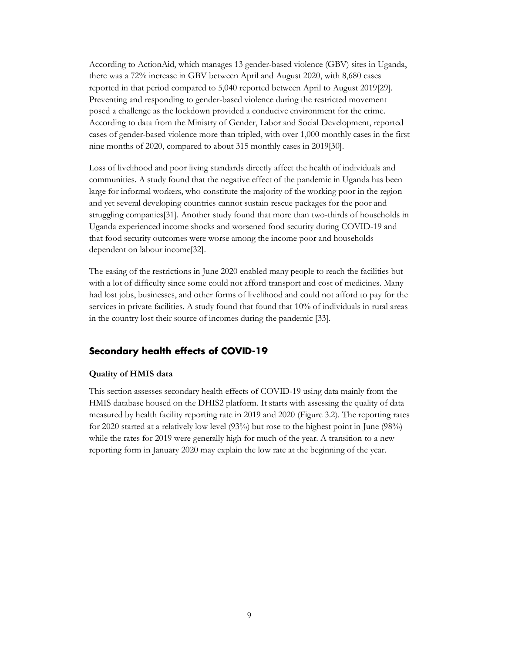According to ActionAid, which manages 13 gender-based violence (GBV) sites in Uganda, there was a 72% increase in GBV between April and August 2020, with 8,680 cases reported in that period compared to 5,040 reported between April to August 2019[29]. Preventing and responding to gender-based violence during the restricted movement posed a challenge as the lockdown provided a conducive environment for the crime. According to data from the Ministry of Gender, Labor and Social Development, reported cases of gender-based violence more than tripled, with over 1,000 monthly cases in the first nine months of 2020, compared to about 315 monthly cases in 2019[30].

Loss of livelihood and poor living standards directly affect the health of individuals and communities. A study found that the negative effect of the pandemic in Uganda has been large for informal workers, who constitute the majority of the working poor in the region and yet several developing countries cannot sustain rescue packages for the poor and struggling companies[31]. Another study found that more than two-thirds of households in Uganda experienced income shocks and worsened food security during COVID-19 and that food security outcomes were worse among the income poor and households dependent on labour income[32].

The easing of the restrictions in June 2020 enabled many people to reach the facilities but with a lot of difficulty since some could not afford transport and cost of medicines. Many had lost jobs, businesses, and other forms of livelihood and could not afford to pay for the services in private facilities. A study found that found that 10% of individuals in rural areas in the country lost their source of incomes during the pandemic [33].

#### <span id="page-11-0"></span>**Secondary health effects of COVID-19**

#### <span id="page-11-1"></span>**Quality of HMIS data**

This section assesses secondary health effects of COVID-19 using data mainly from the HMIS database housed on the DHIS2 platform. It starts with assessing the quality of data measured by health facility reporting rate in 2019 and 2020 (Figure 3.2). The reporting rates for 2020 started at a relatively low level (93%) but rose to the highest point in June (98%) while the rates for 2019 were generally high for much of the year. A transition to a new reporting form in January 2020 may explain the low rate at the beginning of the year.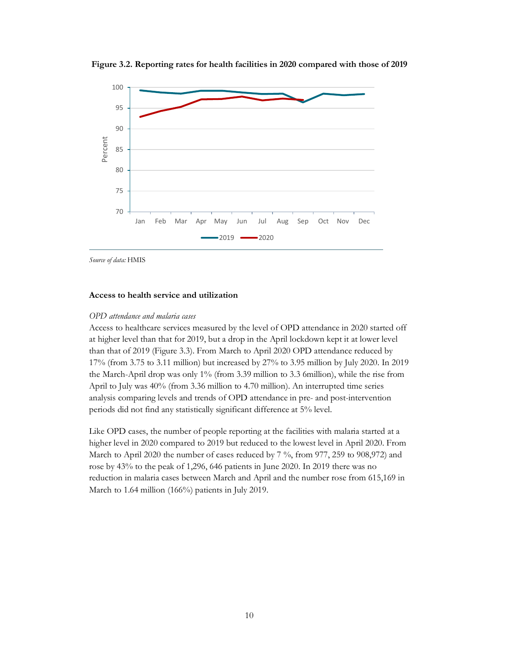

**Figure 3.2. Reporting rates for health facilities in 2020 compared with those of 2019**

*Source of data:* HMIS

#### <span id="page-12-0"></span>**Access to health service and utilization**

#### *OPD attendance and malaria cases*

Access to healthcare services measured by the level of OPD attendance in 2020 started off at higher level than that for 2019, but a drop in the April lockdown kept it at lower level than that of 2019 (Figure 3.3). From March to April 2020 OPD attendance reduced by 17% (from 3.75 to 3.11 million) but increased by 27% to 3.95 million by July 2020. In 2019 the March-April drop was only  $1\%$  (from 3.39 million to 3.3 6 million), while the rise from April to July was 40% (from 3.36 million to 4.70 million). An interrupted time series analysis comparing levels and trends of OPD attendance in pre- and post-intervention periods did not find any statistically significant difference at 5% level.

Like OPD cases, the number of people reporting at the facilities with malaria started at a higher level in 2020 compared to 2019 but reduced to the lowest level in April 2020. From March to April 2020 the number of cases reduced by 7 %, from 977, 259 to 908,972) and rose by 43% to the peak of 1,296, 646 patients in June 2020. In 2019 there was no reduction in malaria cases between March and April and the number rose from 615,169 in March to 1.64 million (166%) patients in July 2019.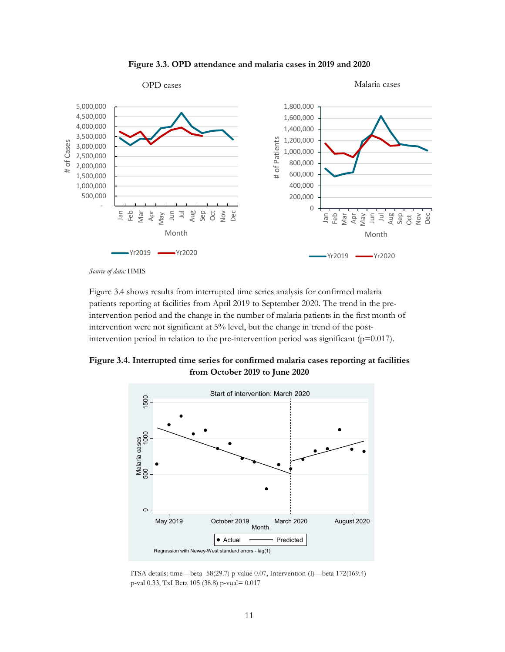



*Source of data:* HMIS

Figure 3.4 shows results from interrupted time series analysis for confirmed malaria patients reporting at facilities from April 2019 to September 2020. The trend in the preintervention period and the change in the number of malaria patients in the first month of intervention were not significant at 5% level, but the change in trend of the postintervention period in relation to the pre-intervention period was significant ( $p=0.017$ ).

**Figure 3.4. Interrupted time series for confirmed malaria cases reporting at facilities from October 2019 to June 2020**



ITSA details: time—beta -58(29.7) p-value 0.07, Intervention (I)—beta 172(169.4) p-val 0.33, TxI Beta 105 (38.8) p-vµal= 0.017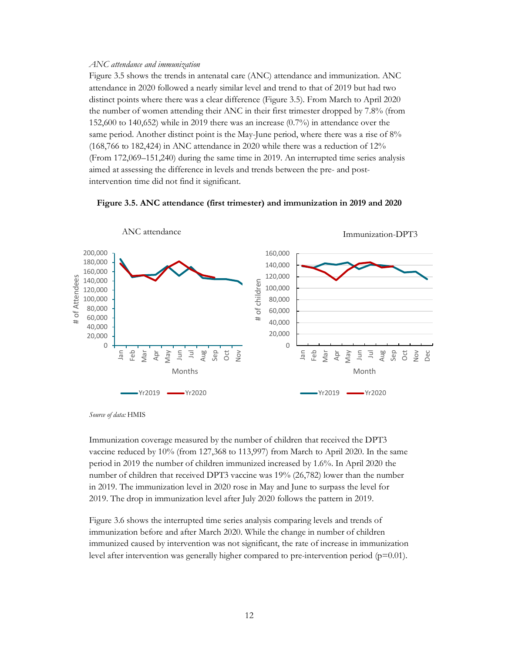#### *ANC attendance and immunization*

Figure 3.5 shows the trends in antenatal care (ANC) attendance and immunization. ANC attendance in 2020 followed a nearly similar level and trend to that of 2019 but had two distinct points where there was a clear difference (Figure 3.5). From March to April 2020 the number of women attending their ANC in their first trimester dropped by 7.8% (from 152,600 to 140,652) while in 2019 there was an increase (0.7%) in attendance over the same period. Another distinct point is the May-June period, where there was a rise of 8% (168,766 to 182,424) in ANC attendance in 2020 while there was a reduction of 12% (From 172,069–151,240) during the same time in 2019. An interrupted time series analysis aimed at assessing the difference in levels and trends between the pre- and postintervention time did not find it significant.





*Source of data:* HMIS

Immunization coverage measured by the number of children that received the DPT3 vaccine reduced by 10% (from 127,368 to 113,997) from March to April 2020. In the same period in 2019 the number of children immunized increased by 1.6%. In April 2020 the number of children that received DPT3 vaccine was 19% (26,782) lower than the number in 2019. The immunization level in 2020 rose in May and June to surpass the level for 2019. The drop in immunization level after July 2020 follows the pattern in 2019.

Figure 3.6 shows the interrupted time series analysis comparing levels and trends of immunization before and after March 2020. While the change in number of children immunized caused by intervention was not significant, the rate of increase in immunization level after intervention was generally higher compared to pre-intervention period  $(p=0.01)$ .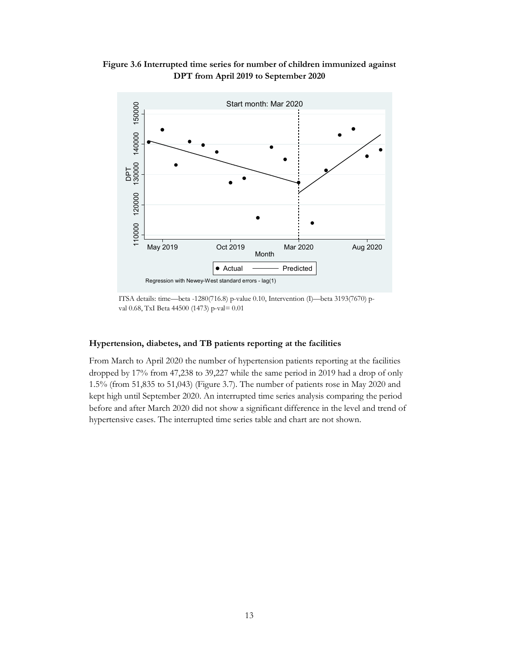



ITSA details: time—beta -1280(716.8) p-value 0.10, Intervention (I)—beta 3193(7670) pval 0.68, TxI Beta 44500 (1473) p-val= 0.01

#### <span id="page-15-0"></span>**Hypertension, diabetes, and TB patients reporting at the facilities**

From March to April 2020 the number of hypertension patients reporting at the facilities dropped by 17% from 47,238 to 39,227 while the same period in 2019 had a drop of only 1.5% (from 51,835 to 51,043) (Figure 3.7). The number of patients rose in May 2020 and kept high until September 2020. An interrupted time series analysis comparing the period before and after March 2020 did not show a significant difference in the level and trend of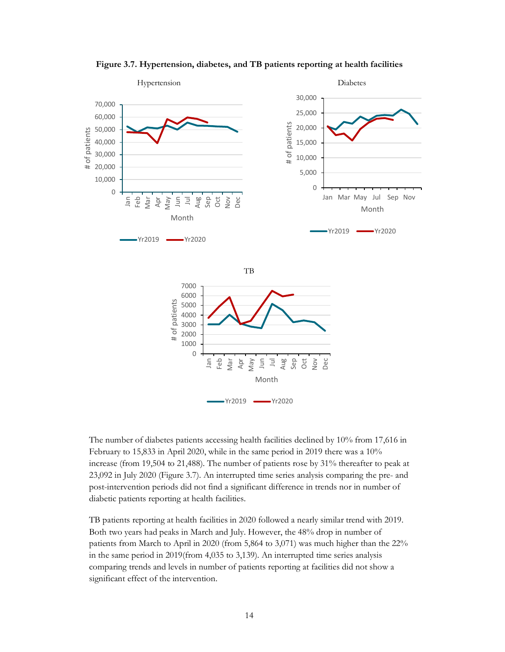

**Figure 3.7. Hypertension, diabetes, and TB patients reporting at health facilities**

The number of diabetes patients accessing health facilities declined by 10% from 17,616 in February to 15,833 in April 2020, while in the same period in 2019 there was a 10% increase (from 19,504 to 21,488). The number of patients rose by 31% thereafter to peak at 23,092 in July 2020 (Figure 3.7). An interrupted time series analysis comparing the pre- and post-intervention periods did not find a significant difference in trends nor in number of diabetic patients reporting at health facilities.

TB patients reporting at health facilities in 2020 followed a nearly similar trend with 2019. Both two years had peaks in March and July. However, the 48% drop in number of patients from March to April in 2020 (from 5,864 to 3,071) was much higher than the 22% in the same period in 2019(from 4,035 to 3,139). An interrupted time series analysis comparing trends and levels in number of patients reporting at facilities did not show a significant effect of the intervention.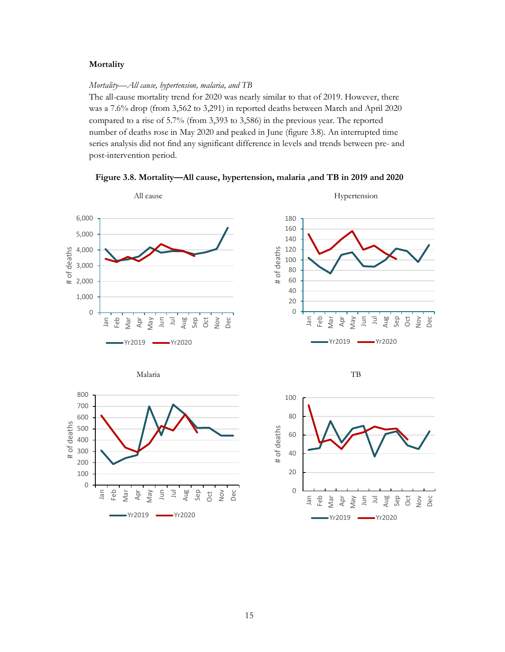#### <span id="page-17-0"></span>**Mortality**

#### *Mortality—All cause, hypertension, malaria, and TB*

The all-cause mortality trend for 2020 was nearly similar to that of 2019. However, there was a 7.6% drop (from 3,562 to 3,291) in reported deaths between March and April 2020 compared to a rise of 5.7% (from 3,393 to 3,586) in the previous year. The reported number of deaths rose in May 2020 and peaked in June (figure 3.8). An interrupted time series analysis did not find any significant difference in levels and trends between pre- and post-intervention period.



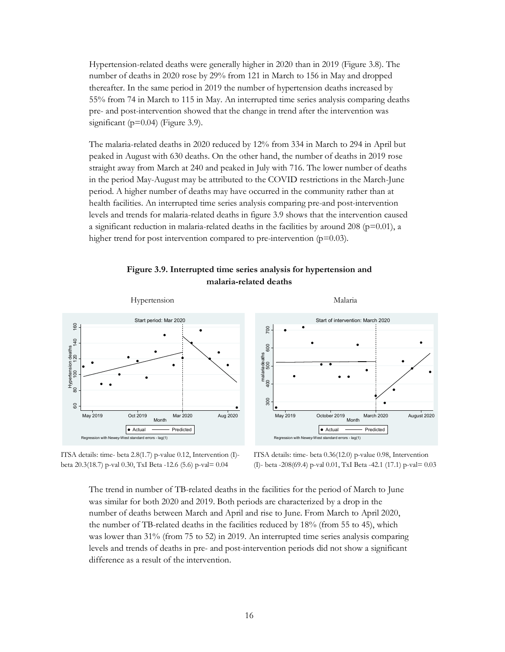Hypertension-related deaths were generally higher in 2020 than in 2019 (Figure 3.8). The number of deaths in 2020 rose by 29% from 121 in March to 156 in May and dropped thereafter. In the same period in 2019 the number of hypertension deaths increased by 55% from 74 in March to 115 in May. An interrupted time series analysis comparing deaths pre- and post-intervention showed that the change in trend after the intervention was significant (p=0.04) (Figure 3.9).

The malaria-related deaths in 2020 reduced by 12% from 334 in March to 294 in April but peaked in August with 630 deaths. On the other hand, the number of deaths in 2019 rose straight away from March at 240 and peaked in July with 716. The lower number of deaths in the period May-August may be attributed to the COVID restrictions in the March-June period. A higher number of deaths may have occurred in the community rather than at health facilities. An interrupted time series analysis comparing pre-and post-intervention levels and trends for malaria-related deaths in figure 3.9 shows that the intervention caused a significant reduction in malaria-related deaths in the facilities by around 208 ( $p=0.01$ ), a higher trend for post intervention compared to pre-intervention  $(p=0.03)$ .





ITSA details: time- beta 2.8(1.7) p-value 0.12, Intervention (I) beta 20.3(18.7) p-val 0.30, TxI Beta -12.6 (5.6) p-val= 0.04

ITSA details: time- beta 0.36(12.0) p-value 0.98, Intervention (I)- beta -208(69.4) p-val 0.01, TxI Beta -42.1 (17.1) p-val= 0.03

The trend in number of TB-related deaths in the facilities for the period of March to June was similar for both 2020 and 2019. Both periods are characterized by a drop in the number of deaths between March and April and rise to June. From March to April 2020, the number of TB-related deaths in the facilities reduced by 18% (from 55 to 45), which was lower than 31% (from 75 to 52) in 2019. An interrupted time series analysis comparing levels and trends of deaths in pre- and post-intervention periods did not show a significant difference as a result of the intervention.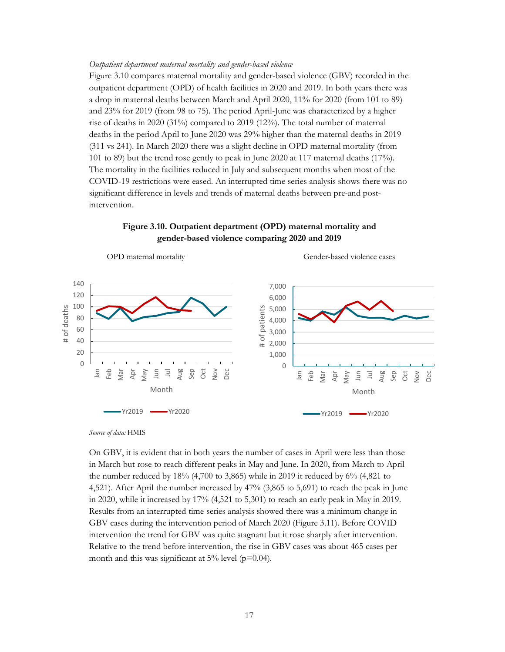#### *Outpatient department maternal mortality and gender-based violence*

Figure 3.10 compares maternal mortality and gender-based violence (GBV) recorded in the outpatient department (OPD) of health facilities in 2020 and 2019. In both years there was a drop in maternal deaths between March and April 2020, 11% for 2020 (from 101 to 89) and 23% for 2019 (from 98 to 75). The period April-June was characterized by a higher rise of deaths in 2020 (31%) compared to 2019 (12%). The total number of maternal deaths in the period April to June 2020 was 29% higher than the maternal deaths in 2019 (311 vs 241). In March 2020 there was a slight decline in OPD maternal mortality (from 101 to 89) but the trend rose gently to peak in June 2020 at 117 maternal deaths (17%). The mortality in the facilities reduced in July and subsequent months when most of the COVID-19 restrictions were eased. An interrupted time series analysis shows there was no significant difference in levels and trends of maternal deaths between pre-and postintervention.





*Source of data:* HMIS

On GBV, it is evident that in both years the number of cases in April were less than those in March but rose to reach different peaks in May and June. In 2020, from March to April the number reduced by 18% (4,700 to 3,865) while in 2019 it reduced by 6% (4,821 to 4,521). After April the number increased by 47% (3,865 to 5,691) to reach the peak in June in 2020, while it increased by 17% (4,521 to 5,301) to reach an early peak in May in 2019. Results from an interrupted time series analysis showed there was a minimum change in GBV cases during the intervention period of March 2020 (Figure 3.11). Before COVID intervention the trend for GBV was quite stagnant but it rose sharply after intervention. Relative to the trend before intervention, the rise in GBV cases was about 465 cases per month and this was significant at  $5\%$  level (p=0.04).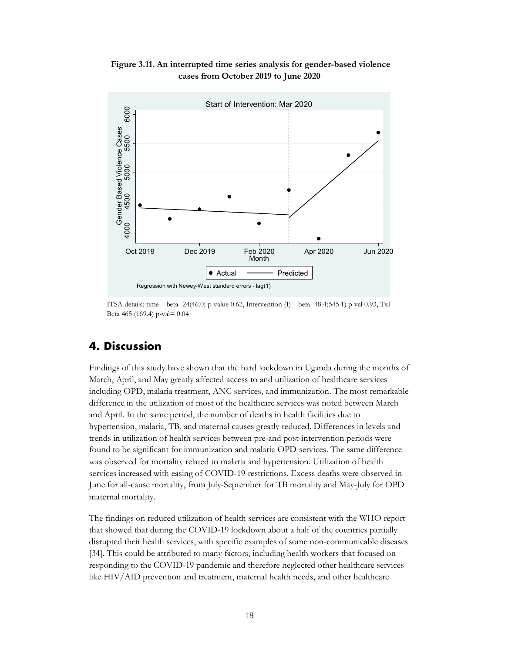**Figure 3.11. An interrupted time series analysis for gender-based violence cases from October 2019 to June 2020**



ITSA details: time—beta -24(46.0) p-value 0.62, Intervention (I)—beta -48.4(545.1) p-val 0.93, TxI Beta 465 (169.4) p-val= 0.04

#### <span id="page-20-0"></span>**4. Discussion**

Findings of this study have shown that the hard lockdown in Uganda during the months of March, April, and May greatly affected access to and utilization of healthcare services including OPD, malaria treatment, ANC services, and immunization. The most remarkable difference in the utilization of most of the healthcare services was noted between March and April. In the same period, the number of deaths in health facilities due to hypertension, malaria, TB, and maternal causes greatly reduced. Differences in levels and trends in utilization of health services between pre-and post-intervention periods were found to be significant for immunization and malaria OPD services. The same difference was observed for mortality related to malaria and hypertension. Utilization of health services increased with easing of COVID-19 restrictions. Excess deaths were observed in June for all-cause mortality, from July-September for TB mortality and May-July for OPD maternal mortality.

The findings on reduced utilization of health services are consistent with the WHO report that showed that during the COVID-19 lockdown about a half of the countries partially disrupted their health services, with specific examples of some non-communicable diseases [34]. This could be attributed to many factors, including health workers that focused on responding to the COVID-19 pandemic and therefore neglected other healthcare services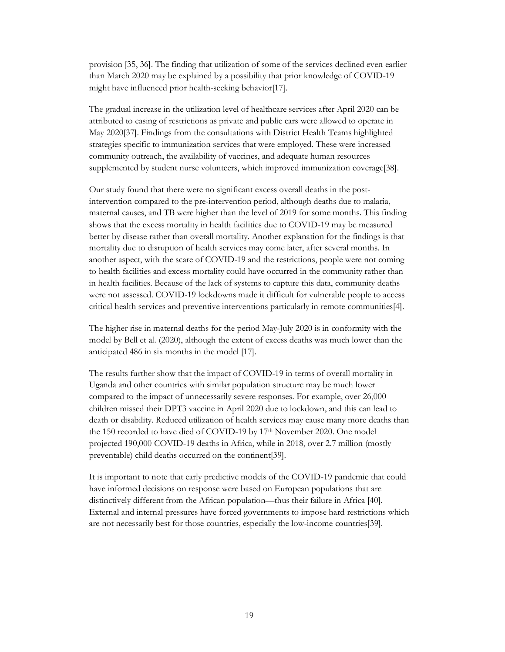provision [35, 36]. The finding that utilization of some of the services declined even earlier than March 2020 may be explained by a possibility that prior knowledge of COVID-19 might have influenced prior health-seeking behavior[17].

The gradual increase in the utilization level of healthcare services after April 2020 can be attributed to easing of restrictions as private and public cars were allowed to operate in May 2020[37]. Findings from the consultations with District Health Teams highlighted strategies specific to immunization services that were employed. These were increased community outreach, the availability of vaccines, and adequate human resources supplemented by student nurse volunteers, which improved immunization coverage[38].

Our study found that there were no significant excess overall deaths in the postintervention compared to the pre-intervention period, although deaths due to malaria, maternal causes, and TB were higher than the level of 2019 for some months. This finding shows that the excess mortality in health facilities due to COVID-19 may be measured better by disease rather than overall mortality. Another explanation for the findings is that mortality due to disruption of health services may come later, after several months. In another aspect, with the scare of COVID-19 and the restrictions, people were not coming to health facilities and excess mortality could have occurred in the community rather than in health facilities. Because of the lack of systems to capture this data, community deaths were not assessed. COVID-19 lockdowns made it difficult for vulnerable people to access critical health services and preventive interventions particularly in remote communities[4].

The higher rise in maternal deaths for the period May-July 2020 is in conformity with the model by Bell et al. (2020), although the extent of excess deaths was much lower than the anticipated 486 in six months in the model [17].

The results further show that the impact of COVID-19 in terms of overall mortality in Uganda and other countries with similar population structure may be much lower compared to the impact of unnecessarily severe responses. For example, over 26,000 children missed their DPT3 vaccine in April 2020 due to lockdown, and this can lead to death or disability. Reduced utilization of health services may cause many more deaths than the 150 recorded to have died of COVID-19 by 17<sup>th</sup> November 2020. One model projected 190,000 COVID-19 deaths in Africa, while in 2018, over 2.7 million (mostly preventable) child deaths occurred on the continent[39].

<span id="page-21-0"></span>It is important to note that early predictive models of the COVID-19 pandemic that could have informed decisions on response were based on European populations that are distinctively different from the African population—thus their failure in Africa [40]. External and internal pressures have forced governments to impose hard restrictions which are not necessarily best for those countries, especially the low-income countries[39].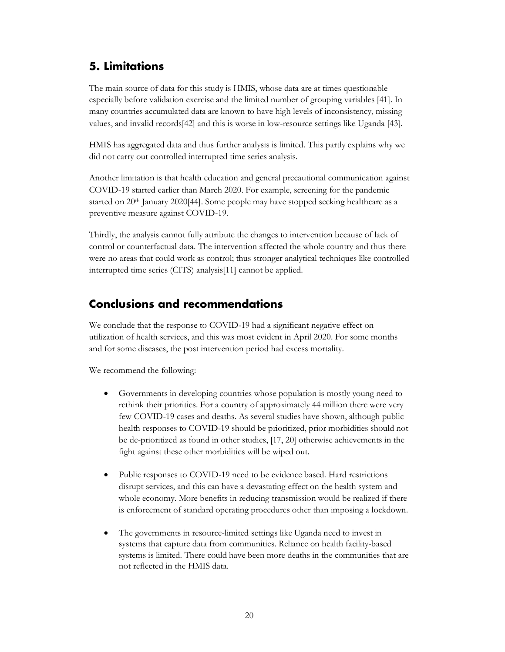## **5. Limitations**

The main source of data for this study is HMIS, whose data are at times questionable especially before validation exercise and the limited number of grouping variables [41]. In many countries accumulated data are known to have high levels of inconsistency, missing values, and invalid records[42] and this is worse in low-resource settings like Uganda [43].

HMIS has aggregated data and thus further analysis is limited. This partly explains why we did not carry out controlled interrupted time series analysis.

Another limitation is that health education and general precautional communication against COVID-19 started earlier than March 2020. For example, screening for the pandemic started on 20<sup>th</sup> January 2020[44]. Some people may have stopped seeking healthcare as a preventive measure against COVID-19.

Thirdly, the analysis cannot fully attribute the changes to intervention because of lack of control or counterfactual data. The intervention affected the whole country and thus there were no areas that could work as control; thus stronger analytical techniques like controlled interrupted time series (CITS) analysis[11] cannot be applied.

## <span id="page-22-0"></span>**Conclusions and recommendations**

We conclude that the response to COVID-19 had a significant negative effect on utilization of health services, and this was most evident in April 2020. For some months and for some diseases, the post intervention period had excess mortality.

We recommend the following:

- Governments in developing countries whose population is mostly young need to rethink their priorities. For a country of approximately 44 million there were very few COVID-19 cases and deaths. As several studies have shown, although public health responses to COVID-19 should be prioritized, prior morbidities should not be de-prioritized as found in other studies, [17, 20] otherwise achievements in the fight against these other morbidities will be wiped out.
- Public responses to COVID-19 need to be evidence based. Hard restrictions disrupt services, and this can have a devastating effect on the health system and whole economy. More benefits in reducing transmission would be realized if there is enforcement of standard operating procedures other than imposing a lockdown.
- The governments in resource-limited settings like Uganda need to invest in systems that capture data from communities. Reliance on health facility-based systems is limited. There could have been more deaths in the communities that are not reflected in the HMIS data.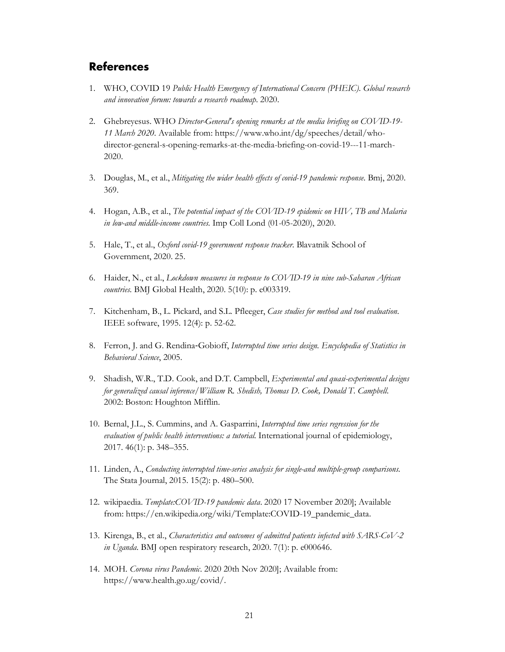## <span id="page-23-0"></span>**References**

- 1. WHO, COVID 19 *Public Health Emergency of International Concern (PHEIC). Global research and innovation forum: towards a research roadmap*. 2020.
- 2. Ghebreyesus. WHO *Director-General's opening remarks at the media briefing on COVID-19- 11 March 2020*. Available from[: https://www.who.int/dg/speeches/detail/who](https://www.who.int/dg/speeches/detail/who-director-general-s-opening-remarks-at-the-media-briefing-on-covid-19---11-march-2020)[director-general-s-opening-remarks-at-the-media-briefing-on-covid-19---11-march-](https://www.who.int/dg/speeches/detail/who-director-general-s-opening-remarks-at-the-media-briefing-on-covid-19---11-march-2020)[2020.](https://www.who.int/dg/speeches/detail/who-director-general-s-opening-remarks-at-the-media-briefing-on-covid-19---11-march-2020)
- 3. Douglas, M., et al., *Mitigating the wider health effects of covid-19 pandemic response*. Bmj, 2020. 369.
- 4. Hogan, A.B., et al., *The potential impact of the COVID-19 epidemic on HIV, TB and Malaria in low-and middle-income countries*. Imp Coll Lond (01-05-2020), 2020.
- 5. Hale, T., et al., *Oxford covid-19 government response tracker*. Blavatnik School of Government, 2020. 25.
- 6. Haider, N., et al., *Lockdown measures in response to COVID-19 in nine sub-Saharan African countries*. BMJ Global Health, 2020. 5(10): p. e003319.
- 7. Kitchenham, B., L. Pickard, and S.L. Pfleeger, *Case studies for method and tool evaluation*. IEEE software, 1995. 12(4): p. 52-62.
- 8. Ferron, J. and G. Rendina‐Gobioff, *Interrupted time series design. Encyclopedia of Statistics in Behavioral Science*, 2005.
- 9. Shadish, W.R., T.D. Cook, and D.T. Campbell, *Experimental and quasi-experimental designs for generalized causal inference/William R. Shedish, Thomas D. Cook, Donald T. Campbell*. 2002: Boston: Houghton Mifflin.
- 10. Bernal, J.L., S. Cummins, and A. Gasparrini, *Interrupted time series regression for the evaluation of public health interventions: a tutorial.* International journal of epidemiology, 2017. 46(1): p. 348–355.
- 11. Linden, A., *Conducting interrupted time-series analysis for single-and multiple-group comparisons.* The Stata Journal, 2015. 15(2): p. 480–500.
- 12. wikipaedia. *Template:COVID-19 pandemic data*. 2020 17 November 2020]; Available from[: https://en.wikipedia.org/wiki/Template:COVID-19\\_pandemic\\_data.](https://en.wikipedia.org/wiki/Template:COVID-19_pandemic_data)
- 13. Kirenga, B., et al., *Characteristics and outcomes of admitted patients infected with SARS-CoV-2 in Uganda.* BMJ open respiratory research, 2020. 7(1): p. e000646.
- 14. MOH. *Corona virus Pandemic*. 2020 20th Nov 2020]; Available from: [https://www.health.go.ug/covid/.](https://www.health.go.ug/covid/)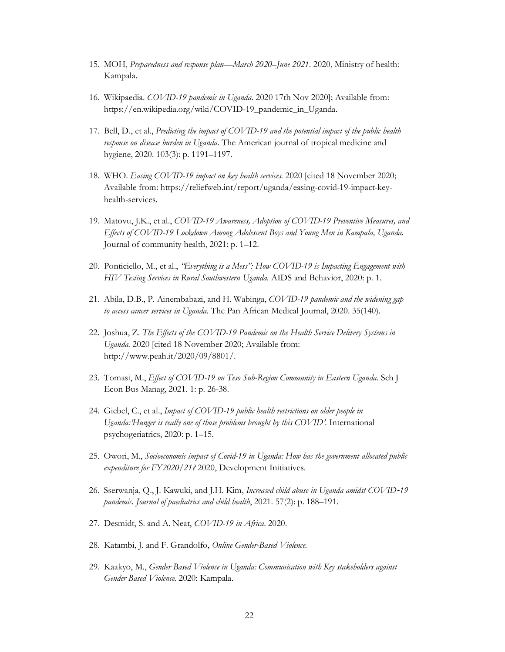- 15. MOH, *Preparedness and response plan—March 2020–June 2021*. 2020, Ministry of health: Kampala.
- 16. Wikipaedia. *COVID-19 pandemic in Uganda*. 2020 17th Nov 2020]; Available from: [https://en.wikipedia.org/wiki/COVID-19\\_pandemic\\_in\\_Uganda.](https://en.wikipedia.org/wiki/COVID-19_pandemic_in_Uganda)
- 17. Bell, D., et al., *Predicting the impact of COVID-19 and the potential impact of the public health response on disease burden in Uganda.* The American journal of tropical medicine and hygiene, 2020. 103(3): p. 1191–1197.
- 18. WHO. *Easing COVID-19 impact on key health services.* 2020 [cited 18 November 2020; Available from[: https://reliefweb.int/report/uganda/easing-covid-19-impact-key](https://reliefweb.int/report/uganda/easing-covid-19-impact-key-health-services)[health-services.](https://reliefweb.int/report/uganda/easing-covid-19-impact-key-health-services)
- 19. Matovu, J.K., et al., *COVID-19 Awareness, Adoption of COVID-19 Preventive Measures, and Effects of COVID-19 Lockdown Among Adolescent Boys and Young Men in Kampala, Uganda.* Journal of community health, 2021: p. 1–12.
- 20. Ponticiello, M., et al., *"Everything is a Mess": How COVID-19 is Impacting Engagement with HIV Testing Services in Rural Southwestern Uganda.* AIDS and Behavior, 2020: p. 1.
- 21. Abila, D.B., P. Ainembabazi, and H. Wabinga, *COVID-19 pandemic and the widening gap to access cancer services in Uganda*. The Pan African Medical Journal, 2020. 35(140).
- 22. Joshua, Z. *The Effects of the COVID-19 Pandemic on the Health Service Delivery Systems in Uganda.* 2020 [cited 18 November 2020; Available from: [http://www.peah.it/2020/09/8801/.](http://www.peah.it/2020/09/8801/)
- 23. Tomasi, M., *Effect of COVID-19 on Teso Sub-Region Community in Eastern Uganda*. Sch J Econ Bus Manag, 2021. 1: p. 26-38.
- 24. Giebel, C., et al., *Impact of COVID-19 public health restrictions on older people in Uganda:'Hunger is really one of those problems brought by this COVID'.* International psychogeriatrics, 2020: p. 1–15.
- 25. Owori, M., *Socioeconomic impact of Covid-19 in Uganda: How has the government allocated public expenditure for FY2020/21?* 2020, Development Initiatives.
- 26. Sserwanja, Q., J. Kawuki, and J.H. Kim, *Increased child abuse in Uganda amidst COVID*‐*19 pandemic. Journal of paediatrics and child health*, 2021. 57(2): p. 188–191.
- 27. Desmidt, S. and A. Neat, *COVID-19 in Africa*. 2020.
- 28. Katambi, J. and F. Grandolfo, *Online Gender-Based Violence.*
- 29. Kaakyo, M., *Gender Based Violence in Uganda: Communication with Key stakeholders against Gender Based Violence.* 2020: Kampala.